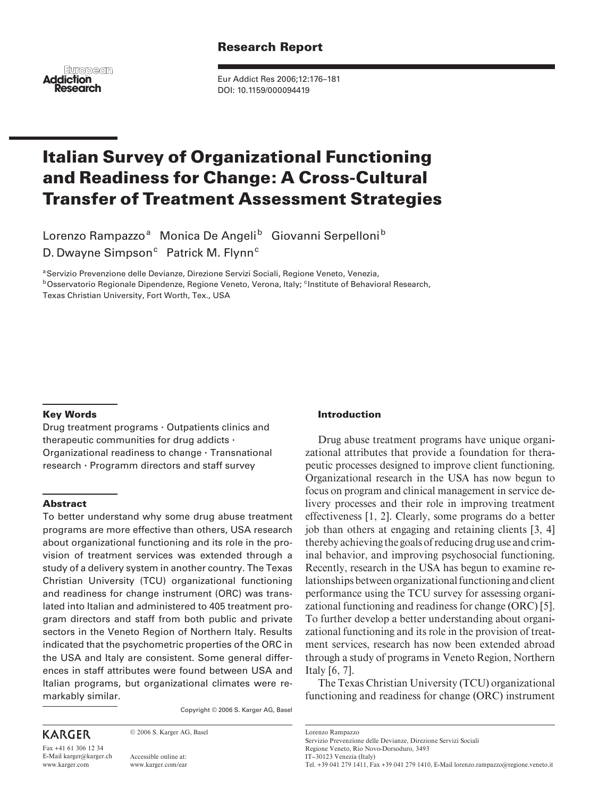# **Research Report**



Eur Addict Res 2006;12:176–181 DOI: 10.1159/000094419

# **Italian Survey of Organizational Functioning and Readiness for Change: A Cross-Cultural Transfer of Treatment Assessment Strategies**

Lorenzo Rampazzo<sup>a</sup> Monica De Angeli<sup>b</sup> Giovanni Serpelloni<sup>b</sup> D. Dwayne Simpson<sup>c</sup> Patrick M. Flynn<sup>c</sup>

<sup>a</sup> Servizio Prevenzione delle Devianze, Direzione Servizi Sociali, Regione Veneto, Venezia,  $^{\rm b}$ Osservatorio Regionale Dipendenze, Regione Veneto, Verona, Italy; <sup>c</sup>Institute of Behavioral Research,

Texas Christian University, Fort Worth, Tex., USA

#### **Key Words**

Drug treatment programs  $\cdot$  Outpatients clinics and therapeutic communities for drug addicts · Organizational readiness to change  $\cdot$  Transnational  $r$ esearch  $\cdot$  Programm directors and staff survey

#### **Abstract**

To better understand why some drug abuse treatment programs are more effective than others, USA research about organizational functioning and its role in the provision of treatment services was extended through a study of a delivery system in another country. The Texas Christian University (TCU) organizational functioning and readiness for change instrument (ORC) was translated into Italian and administered to 405 treatment program directors and staff from both public and private sectors in the Veneto Region of Northern Italy. Results indicated that the psychometric properties of the ORC in the USA and Italy are consistent. Some general differences in staff attributes were found between USA and Italian programs, but organizational climates were remarkably similar.

Copyright © 2006 S. Karger AG, Basel

# **KARGER**

 $F_{3x}$  +41 61 306 12 34 E-Mail karger@karger.ch www.karger.com

© 2006 S. Karger AG, Basel

Accessible online at: www.karger.com/ear

#### **Introduction**

Drug abuse treatment programs have unique organizational attributes that provide a foundation for therapeutic processes designed to improve client functioning. Organizational research in the USA has now begun to focus on program and clinical management in service delivery processes and their role in improving treatment effectiveness [1, 2]. Clearly, some programs do a better job than others at engaging and retaining clients [3, 4] thereby achieving the goals of reducing drug use and criminal behavior, and improving psychosocial functioning. Recently, research in the USA has begun to examine relationships between organizational functioning and client performance using the TCU survey for assessing organizational functioning and readiness for change (ORC) [5]. To further develop a better understanding about organizational functioning and its role in the provision of treatment services, research has now been extended abroad through a study of programs in Veneto Region, Northern Italy [6, 7].

The Texas Christian University (TCU) organizational functioning and readiness for change (ORC) instrument

Tel. +39 041 279 1411, Fax +39 041 279 1410, E-Mail lorenzo.rampazzo@regione.veneto.it

Lorenzo Rampazzo

Servizio Prevenzione delle Devianze, Direzione Servizi Sociali

Regione Veneto, Rio Novo-Dorsoduro, 3493 IT–30123 Venezia (Italy)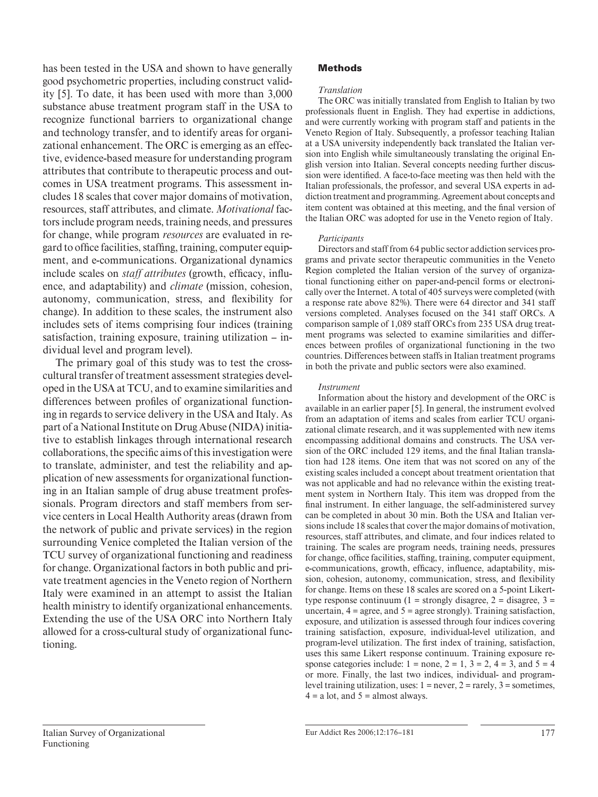has been tested in the USA and shown to have generally good psychometric properties, including construct validity  $[5]$ . To date, it has been used with more than 3,000 substance abuse treatment program staff in the USA to recognize functional barriers to organizational change and technology transfer, and to identify areas for organizational enhancement. The ORC is emerging as an effective, evidence-based measure for understanding program attributes that contribute to therapeutic process and outcomes in USA treatment programs. This assessment includes 18 scales that cover major domains of motivation, resources, staff attributes, and climate. *Motivational* factors include program needs, training needs, and pressures for change, while program *resources* are evaluated in regard to office facilities, staffing, training, computer equipment, and e-communications. Organizational dynamics include scales on *staff attributes* (growth, efficacy, influence, and adaptability) and *climate* (mission, cohesion, autonomy, communication, stress, and flexibility for change). In addition to these scales, the instrument also includes sets of items comprising four indices (training satisfaction, training exposure, training utilization – individual level and program level).

The primary goal of this study was to test the crosscultural transfer of treatment assessment strategies developed in the USA at TCU, and to examine similarities and differences between profiles of organizational functioning in regards to service delivery in the USA and Italy. As part of a National Institute on Drug Abuse (NIDA) initiative to establish linkages through international research collaborations, the specific aims of this investigation were to translate, administer, and test the reliability and application of new assessments for organizational functioning in an Italian sample of drug abuse treatment professionals. Program directors and staff members from service centers in Local Health Authority areas (drawn from the network of public and private services) in the region surrounding Venice completed the Italian version of the TCU survey of organizational functioning and readiness for change. Organizational factors in both public and private treatment agencies in the Veneto region of Northern Italy were examined in an attempt to assist the Italian health ministry to identify organizational enhancements. Extending the use of the USA ORC into Northern Italy allowed for a cross-cultural study of organizational functioning.

### **Methods**

#### *Translation*

The ORC was initially translated from English to Italian by two professionals fluent in English. They had expertise in addictions, and were currently working with program staff and patients in the Veneto Region of Italy. Subsequently, a professor teaching Italian at a USA university independently back translated the Italian version into English while simultaneously translating the original English version into Italian. Several concepts needing further discussion were identified. A face-to-face meeting was then held with the Italian professionals, the professor, and several USA experts in addiction treatment and programming. Agreement about concepts and item content was obtained at this meeting, and the final version of the Italian ORC was adopted for use in the Veneto region of Italy.

#### *Participants*

Directors and staff from 64 public sector addiction services programs and private sector therapeutic communities in the Veneto Region completed the Italian version of the survey of organizational functioning either on paper-and-pencil forms or electronically over the Internet. A total of 405 surveys were completed (with a response rate above 82%). There were 64 director and 341 staff versions completed. Analyses focused on the 341 staff ORCs. A comparison sample of 1,089 staff ORCs from 235 USA drug treatment programs was selected to examine similarities and differences between profiles of organizational functioning in the two countries. Differences between staffs in Italian treatment programs in both the private and public sectors were also examined.

#### *Instrument*

Information about the history and development of the ORC is available in an earlier paper [5]. In general, the instrument evolved from an adaptation of items and scales from earlier TCU organizational climate research, and it was supplemented with new items encompassing additional domains and constructs. The USA version of the ORC included 129 items, and the final Italian translation had 128 items. One item that was not scored on any of the existing scales included a concept about treatment orientation that was not applicable and had no relevance within the existing treatment system in Northern Italy. This item was dropped from the final instrument. In either language, the self-administered survey can be completed in about 30 min. Both the USA and Italian versions include 18 scales that cover the major domains of motivation, resources, staff attributes, and climate, and four indices related to training. The scales are program needs, training needs, pressures for change, office facilities, staffing, training, computer equipment, e-communications, growth, efficacy, influence, adaptability, mission, cohesion, autonomy, communication, stress, and flexibility for change. Items on these 18 scales are scored on a 5-point Likerttype response continuum (1 = strongly disagree, 2 = disagree,  $3 =$ uncertain,  $4 = \text{agree}$ , and  $5 = \text{agree}$  strongly). Training satisfaction, exposure, and utilization is assessed through four indices covering training satisfaction, exposure, individual-level utilization, and program-level utilization. The first index of training, satisfaction, uses this same Likert response continuum. Training exposure response categories include:  $1 =$  none,  $2 = 1$ ,  $3 = 2$ ,  $4 = 3$ , and  $5 = 4$ or more. Finally, the last two indices, individual- and programlevel training utilization, uses:  $1 = never, 2 = rarely, 3 = sometimes$ ,  $4 = a$  lot, and  $5 =$  almost always.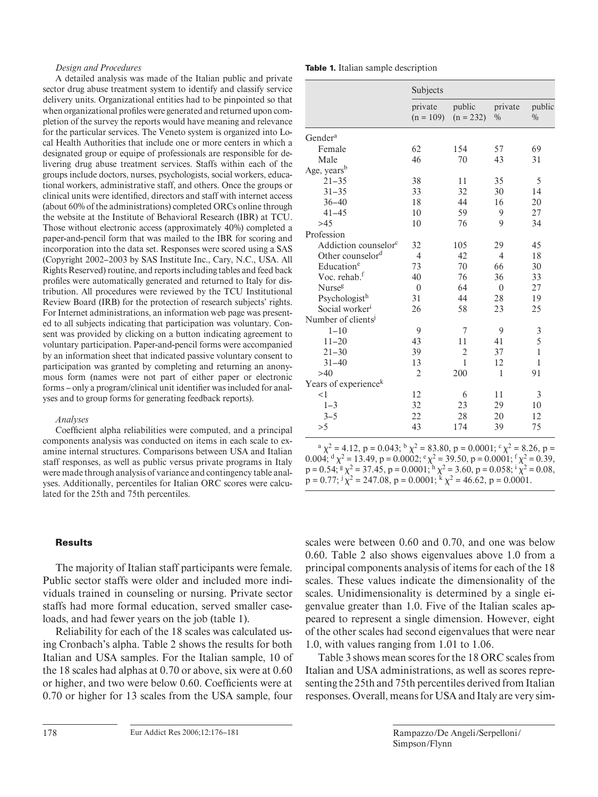#### *Design and Procedures*

A detailed analysis was made of the Italian public and private sector drug abuse treatment system to identify and classify service delivery units. Organizational entities had to be pinpointed so that when organizational profiles were generated and returned upon completion of the survey the reports would have meaning and relevance for the particular services. The Veneto system is organized into Local Health Authorities that include one or more centers in which a designated group or equipe of professionals are responsible for delivering drug abuse treatment services. Staffs within each of the groups include doctors, nurses, psychologists, social workers, educational workers, administrative staff, and others. Once the groups or clinical units were identified, directors and staff with internet access (about 60% of the administrations) completed ORCs online through the website at the Institute of Behavioral Research (IBR) at TCU. Those without electronic access (approximately 40%) completed a paper-and-pencil form that was mailed to the IBR for scoring and incorporation into the data set. Responses were scored using a SAS (Copyright 2002–2003 by SAS Institute Inc., Cary, N.C., USA. All Rights Reserved) routine, and reports including tables and feed back profiles were automatically generated and returned to Italy for distribution. All procedures were reviewed by the TCU Institutional Review Board (IRB) for the protection of research subjects' rights. For Internet administrations, an information web page was presented to all subjects indicating that participation was voluntary. Consent was provided by clicking on a button indicating agreement to voluntary participation. Paper-and-pencil forms were accompanied by an information sheet that indicated passive voluntary consent to participation was granted by completing and returning an anonymous form (names were not part of either paper or electronic forms – only a program/clinical unit identifier was included for analyses and to group forms for generating feedback reports).

#### *Analyses*

Coefficient alpha reliabilities were computed, and a principal components analysis was conducted on items in each scale to examine internal structures. Comparisons between USA and Italian staff responses, as well as public versus private programs in Italy were made through analysis of variance and contingency table analyses. Additionally, percentiles for Italian ORC scores were calculated for the 25th and 75th percentiles.

#### **Results**

The majority of Italian staff participants were female. Public sector staffs were older and included more individuals trained in counseling or nursing. Private sector staffs had more formal education, served smaller caseloads, and had fewer years on the job (table 1).

Reliability for each of the 18 scales was calculated using Cronbach's alpha. Table 2 shows the results for both Italian and USA samples. For the Italian sample, 10 of the 18 scales had alphas at 0.70 or above, six were at 0.60 or higher, and two were below 0.60. Coefficients were at 0.70 or higher for 13 scales from the USA sample, four

|                                  | Subjects               |                       |                          |                         |  |
|----------------------------------|------------------------|-----------------------|--------------------------|-------------------------|--|
|                                  | private<br>$(n = 109)$ | public<br>$(n = 232)$ | private<br>$\frac{0}{0}$ | public<br>$\frac{0}{0}$ |  |
| Gender <sup>a</sup>              |                        |                       |                          |                         |  |
| Female                           | 62                     | 154                   | 57                       | 69                      |  |
| Male                             | 46                     | 70                    | 43                       | 31                      |  |
| Age, years <sup>b</sup>          |                        |                       |                          |                         |  |
| $21 - 35$                        | 38                     | 11                    | 35                       | 5                       |  |
| $31 - 35$                        | 33                     | 32                    | 30                       | 14                      |  |
| $36 - 40$                        | 18                     | 44                    | 16                       | 20                      |  |
| $41 - 45$                        | 10                     | 59                    | 9                        | 27                      |  |
| >45                              | 10                     | 76                    | 9                        | 34                      |  |
| Profession                       |                        |                       |                          |                         |  |
| Addiction counselor <sup>c</sup> | 32                     | 105                   | 29                       | 45                      |  |
| Other counselor <sup>d</sup>     | $\overline{4}$         | 42                    | $\overline{4}$           | 18                      |  |
| Education <sup>e</sup>           | 73                     | 70                    | 66                       | 30                      |  |
| Voc. rehab. <sup>f</sup>         | 40                     | 76                    | 36                       | 33                      |  |
| Nurse <sup>g</sup>               | $\theta$               | 64                    | $\theta$                 | 27                      |  |
| Psychologisth                    | 31                     | 44                    | 28                       | 19                      |  |
| Social worker <sup>1</sup>       | 26                     | 58                    | 23                       | 25                      |  |
| Number of clients <sup>j</sup>   |                        |                       |                          |                         |  |
| $1 - 10$                         | 9                      | 7                     | 9                        | 3                       |  |
| $11 - 20$                        | 43                     | 11                    | 41                       | 5                       |  |
| $21 - 30$                        | 39                     | $\overline{2}$        | 37                       | $\mathbf{1}$            |  |
| $31 - 40$                        | 13                     | $\mathbf{1}$          | 12                       | $\mathbf{1}$            |  |
| >40                              | $\overline{2}$         | 200                   | $\mathbf{1}$             | 91                      |  |
| Years of experience <sup>k</sup> |                        |                       |                          |                         |  |
| <1                               | 12                     | 6                     | 11                       | 3                       |  |
| $1 - 3$                          | 32                     | 23                    | 29                       | 10                      |  |
| $3 - 5$                          | 22                     | 28                    | 20                       | 12                      |  |
| >5                               | 43                     | 174                   | 39                       | 75                      |  |
|                                  |                        |                       |                          |                         |  |

 $a \chi^2 = 4.12$ , p = 0.043;  $b \chi^2 = 83.80$ , p = 0.0001;  $c \chi^2 = 8.26$ , p = 0.004;  $\frac{d}{dx} \chi^2 = 13.49$ , p = 0.0002;  $\frac{e}{x} \chi^2 = 39.50$ , p = 0.0001;  $\frac{f}{x} \chi^2 = 0.39$ ,  $p = 0.54$ ;  $\frac{1}{2}$   $\chi^2 = 37.45$ ,  $p = 0.0001$ ;  $\frac{1}{2}$   $\chi^2 = 3.60$ ,  $p = 0.058$ ;  $\frac{1}{2}$   $\chi^2 = 0.08$ ,  $p = 0.77$ ;  $\frac{1}{2} \chi^2 = 247.08$ ,  $p = 0.0001$ ;  $\frac{k}{\chi^2} = 46.62$ ,  $p = 0.0001$ .

scales were between 0.60 and 0.70, and one was below 0.60. Table 2 also shows eigenvalues above 1.0 from a principal components analysis of items for each of the 18 scales. These values indicate the dimensionality of the scales. Unidimensionality is determined by a single eigenvalue greater than 1.0. Five of the Italian scales appeared to represent a single dimension. However, eight of the other scales had second eigenvalues that were near 1.0, with values ranging from 1.01 to 1.06.

Table 3shows mean scores for the 18 ORC scales from Italian and USA administrations, as well as scores representing the 25th and 75th percentiles derived from Italian responses. Overall, means for USA and Italy are very sim-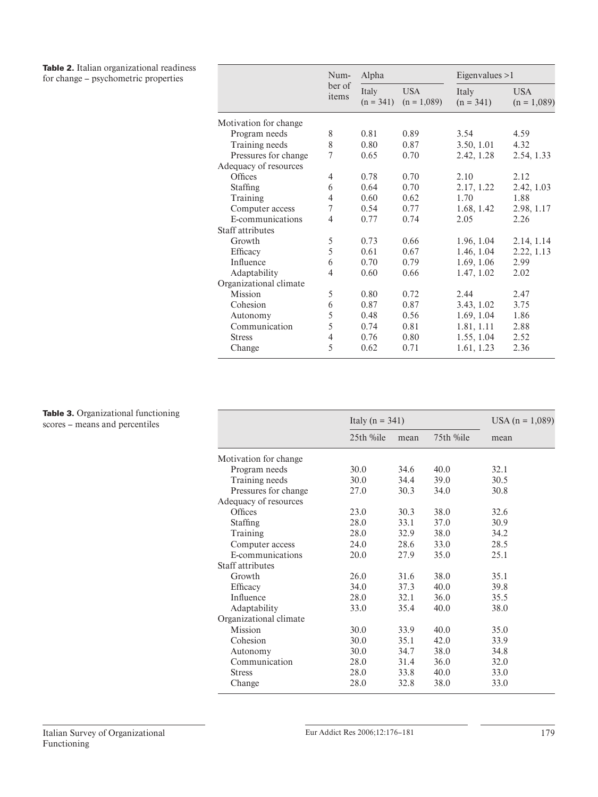#### **Table 2.** Italian organizational readiness for change – psychometric properties

|                        | Num-            | Alpha                |                             | Eigenvalues $>1$     |                             |
|------------------------|-----------------|----------------------|-----------------------------|----------------------|-----------------------------|
|                        | ber of<br>items | Italy<br>$(n = 341)$ | <b>USA</b><br>$(n = 1,089)$ | Italy<br>$(n = 341)$ | <b>USA</b><br>$(n = 1,089)$ |
| Motivation for change  |                 |                      |                             |                      |                             |
| Program needs          | 8               | 0.81                 | 0.89                        | 3.54                 | 4.59                        |
| Training needs         | 8               | 0.80                 | 0.87                        | 3.50, 1.01           | 4.32                        |
| Pressures for change   | 7               | 0.65                 | 0.70                        | 2.42, 1.28           | 2.54, 1.33                  |
| Adequacy of resources  |                 |                      |                             |                      |                             |
| Offices                | $\overline{4}$  | 0.78                 | 0.70                        | 2.10                 | 2.12                        |
| Staffing               | 6               | 0.64                 | 0.70                        | 2.17, 1.22           | 2.42, 1.03                  |
| Training               | $\overline{4}$  | 0.60                 | 0.62                        | 1.70                 | 1.88                        |
| Computer access        | 7               | 0.54                 | 0.77                        | 1.68, 1.42           | 2.98, 1.17                  |
| E-communications       | $\overline{4}$  | 0.77                 | 0.74                        | 2.05                 | 2.26                        |
| Staff attributes       |                 |                      |                             |                      |                             |
| Growth                 | 5               | 0.73                 | 0.66                        | 1.96, 1.04           | 2.14, 1.14                  |
| Efficacy               | 5               | 0.61                 | 0.67                        | 1.46, 1.04           | 2.22, 1.13                  |
| Influence              | 6               | 0.70                 | 0.79                        | 1.69, 1.06           | 2.99                        |
| Adaptability           | $\overline{4}$  | 0.60                 | 0.66                        | 1.47, 1.02           | 2.02                        |
| Organizational climate |                 |                      |                             |                      |                             |
| Mission                | 5               | 0.80                 | 0.72                        | 2.44                 | 2.47                        |
| Cohesion               | 6               | 0.87                 | 0.87                        | 3.43, 1.02           | 3.75                        |
| Autonomy               | 5               | 0.48                 | 0.56                        | 1.69, 1.04           | 1.86                        |
| Communication          | 5               | 0.74                 | 0.81                        | 1.81, 1.11           | 2.88                        |
| <b>Stress</b>          | $\overline{4}$  | 0.76                 | 0.80                        | 1.55, 1.04           | 2.52                        |
| Change                 | 5               | 0.62                 | 0.71                        | 1.61, 1.23           | 2.36                        |

**Table 3.** Organizational functioning scores – means and percentiles

|                        | Italy ( $n = 341$ ) |      | USA $(n = 1,089)$ |      |
|------------------------|---------------------|------|-------------------|------|
|                        | 25th %ile           | mean | 75th %ile         | mean |
| Motivation for change  |                     |      |                   |      |
| Program needs          | 30.0                | 34.6 | 40.0              | 32.1 |
| Training needs         | 30.0                | 34.4 | 39.0              | 30.5 |
| Pressures for change   | 27.0                | 30.3 | 34.0              | 30.8 |
| Adequacy of resources  |                     |      |                   |      |
| <b>Offices</b>         | 23.0                | 30.3 | 38.0              | 32.6 |
| Staffing               | 28.0                | 33.1 | 37.0              | 30.9 |
| Training               | 28.0                | 32.9 | 38.0              | 34.2 |
| Computer access        | 24.0                | 28.6 | 33.0              | 28.5 |
| E-communications       | 20.0                | 27.9 | 35.0              | 25.1 |
| Staff attributes       |                     |      |                   |      |
| Growth                 | 26.0                | 31.6 | 38.0              | 35.1 |
| Efficacy               | 34.0                | 37.3 | 40.0              | 39.8 |
| Influence              | 28.0                | 32.1 | 36.0              | 35.5 |
| Adaptability           | 33.0                | 35.4 | 40.0              | 38.0 |
| Organizational climate |                     |      |                   |      |
| Mission                | 30.0                | 33.9 | 40.0              | 35.0 |
| Cohesion               | 30.0                | 35.1 | 42.0              | 33.9 |
| Autonomy               | 30.0                | 34.7 | 38.0              | 34.8 |
| Communication          | 28.0                | 31.4 | 36.0              | 32.0 |
| <b>Stress</b>          | 28.0                | 33.8 | 40.0              | 33.0 |
| Change                 | 28.0                | 32.8 | 38.0              | 33.0 |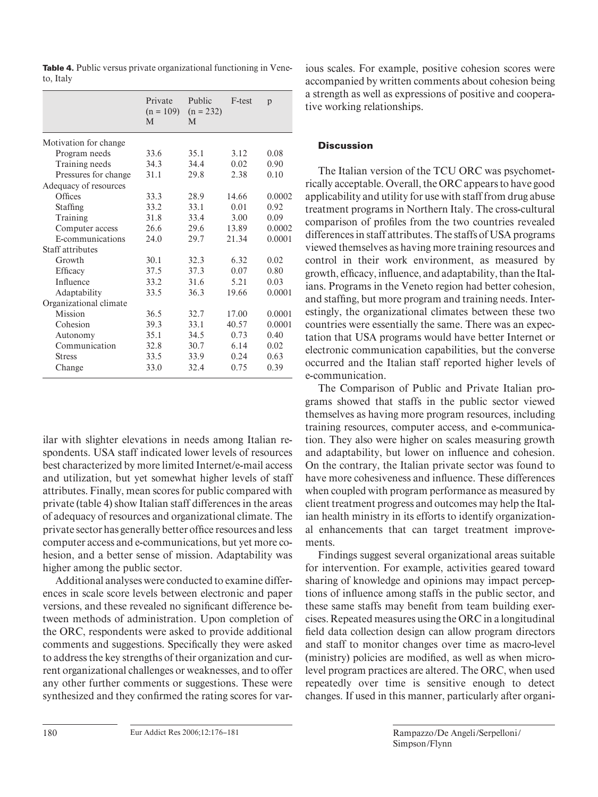|                        | Private<br>$(n = 109)$<br>M | Public<br>$(n = 232)$<br>M | F-test | p      |
|------------------------|-----------------------------|----------------------------|--------|--------|
| Motivation for change  |                             |                            |        |        |
| Program needs          | 33.6                        | 35.1                       | 3.12   | 0.08   |
| Training needs         | 34.3                        | 34.4                       | 0.02   | 0.90   |
| Pressures for change   | 31.1                        | 29.8                       | 2.38   | 0.10   |
| Adequacy of resources  |                             |                            |        |        |
| Offices                | 33.3                        | 28.9                       | 14.66  | 0.0002 |
| Staffing               | 33.2                        | 33.1                       | 0.01   | 0.92   |
| Training               | 31.8                        | 33.4                       | 3.00   | 0.09   |
| Computer access        | 26.6                        | 29.6                       | 13.89  | 0.0002 |
| E-communications       | 24.0                        | 29.7                       | 21.34  | 0.0001 |
| Staff attributes       |                             |                            |        |        |
| Growth                 | 30.1                        | 32.3                       | 6.32   | 0.02   |
| Efficacy               | 37.5                        | 37.3                       | 0.07   | 0.80   |
| Influence              | 33.2                        | 31.6                       | 5.21   | 0.03   |
| Adaptability           | 33.5                        | 36.3                       | 19.66  | 0.0001 |
| Organizational climate |                             |                            |        |        |
| Mission                | 36.5                        | 32.7                       | 17.00  | 0.0001 |
| Cohesion               | 39.3                        | 33.1                       | 40.57  | 0.0001 |
| Autonomy               | 35.1                        | 34.5                       | 0.73   | 0.40   |
| Communication          | 32.8                        | 30.7                       | 6.14   | 0.02   |
| <b>Stress</b>          | 33.5                        | 33.9                       | 0.24   | 0.63   |
| Change                 | 33.0                        | 32.4                       | 0.75   | 0.39   |

**Table 4.** Public versus private organizational functioning in Veneto, Italy

ilar with slighter elevations in needs among Italian respondents. USA staff indicated lower levels of resources best characterized by more limited Internet/e-mail access and utilization, but yet somewhat higher levels of staff attributes. Finally, mean scores for public compared with private (table 4) show Italian staff differences in the areas of adequacy of resources and organizational climate. The private sector has generally better office resources and less computer access and e-communications, but yet more cohesion, and a better sense of mission. Adaptability was higher among the public sector.

Additional analyses were conducted to examine differences in scale score levels between electronic and paper versions, and these revealed no significant difference between methods of administration. Upon completion of the ORC, respondents were asked to provide additional comments and suggestions. Specifically they were asked to address the key strengths of their organization and current organizational challenges or weaknesses, and to offer any other further comments or suggestions. These were synthesized and they confirmed the rating scores for various scales. For example, positive cohesion scores were accompanied by written comments about cohesion being a strength as well as expressions of positive and cooperative working relationships.

# **Discussion**

The Italian version of the TCU ORC was psychometrically acceptable. Overall, the ORC appears to have good applicability and utility for use with staff from drug abuse treatment programs in Northern Italy. The cross-cultural comparison of profiles from the two countries revealed differences in staff attributes. The staffs of USA programs viewed themselves as having more training resources and control in their work environment, as measured by growth, efficacy, influence, and adaptability, than the Italians. Programs in the Veneto region had better cohesion, and staffing, but more program and training needs. Interestingly, the organizational climates between these two countries were essentially the same. There was an expectation that USA programs would have better Internet or electronic communication capabilities, but the converse occurred and the Italian staff reported higher levels of e-communication.

The Comparison of Public and Private Italian programs showed that staffs in the public sector viewed themselves as having more program resources, including training resources, computer access, and e-communication. They also were higher on scales measuring growth and adaptability, but lower on influence and cohesion. On the contrary, the Italian private sector was found to have more cohesiveness and influence. These differences when coupled with program performance as measured by client treatment progress and outcomes may help the Italian health ministry in its efforts to identify organizational enhancements that can target treatment improvements.

Findings suggest several organizational areas suitable for intervention. For example, activities geared toward sharing of knowledge and opinions may impact perceptions of influence among staffs in the public sector, and these same staffs may benefit from team building exercises. Repeated measures using the ORC in a longitudinal field data collection design can allow program directors and staff to monitor changes over time as macro-level (ministry) policies are modified, as well as when microlevel program practices are altered. The ORC, when used repeatedly over time is sensitive enough to detect changes. If used in this manner, particularly after organi